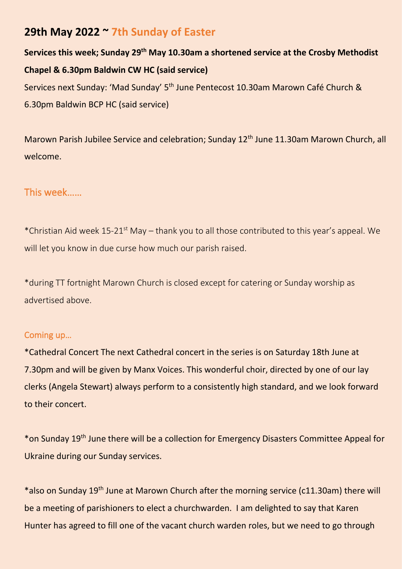# **29th May 2022 ~ 7th Sunday of Easter**

**Services this week; Sunday 29th May 10.30am a shortened service at the Crosby Methodist Chapel & 6.30pm Baldwin CW HC (said service)** Services next Sunday: 'Mad Sunday' 5<sup>th</sup> June Pentecost 10.30am Marown Café Church & 6.30pm Baldwin BCP HC (said service)

Marown Parish Jubilee Service and celebration; Sunday 12<sup>th</sup> June 11.30am Marown Church, all welcome.

## This week……

\*Christian Aid week 15-21st May – thank you to all those contributed to this year's appeal. We will let you know in due curse how much our parish raised.

\*during TT fortnight Marown Church is closed except for catering or Sunday worship as advertised above.

#### Coming up…

\*Cathedral Concert The next Cathedral concert in the series is on Saturday 18th June at 7.30pm and will be given by Manx Voices. This wonderful choir, directed by one of our lay clerks (Angela Stewart) always perform to a consistently high standard, and we look forward to their concert.

\*on Sunday 19th June there will be a collection for Emergency Disasters Committee Appeal for Ukraine during our Sunday services.

\*also on Sunday 19th June at Marown Church after the morning service (c11.30am) there will be a meeting of parishioners to elect a churchwarden. I am delighted to say that Karen Hunter has agreed to fill one of the vacant church warden roles, but we need to go through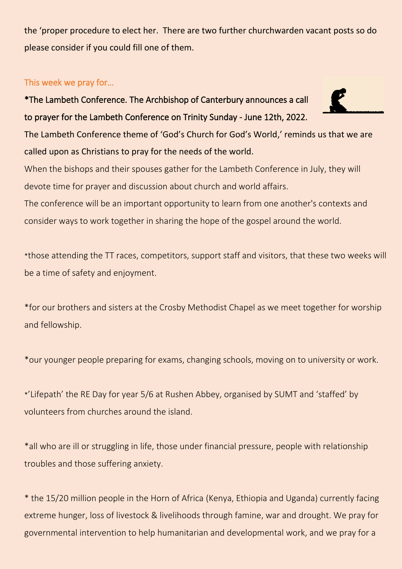the 'proper procedure to elect her. There are two further churchwarden vacant posts so do please consider if you could fill one of them.

## This week we pray for…

\*The Lambeth Conference. The Archbishop of Canterbury announces a call to prayer for the Lambeth Conference on Trinity Sunday - June 12th, 2022.

The Lambeth Conference theme of 'God's Church for God's World,' reminds us that we are called upon as Christians to pray for the needs of the world.

When the bishops and their spouses gather for the Lambeth Conference in July, they will devote time for prayer and discussion about church and world affairs.

The conference will be an important opportunity to learn from one another's contexts and consider ways to work together in sharing the hope of the gospel around the world.

\*those attending the TT races, competitors, support staff and visitors, that these two weeks will be a time of safety and enjoyment.

\*for our brothers and sisters at the Crosby Methodist Chapel as we meet together for worship and fellowship.

\*our younger people preparing for exams, changing schools, moving on to university or work.

\*'Lifepath' the RE Day for year 5/6 at Rushen Abbey, organised by SUMT and 'staffed' by volunteers from churches around the island.

\*all who are ill or struggling in life, those under financial pressure, people with relationship troubles and those suffering anxiety.

\* the 15/20 million people in the Horn of Africa (Kenya, Ethiopia and Uganda) currently facing extreme hunger, loss of livestock & livelihoods through famine, war and drought. We pray for governmental intervention to help humanitarian and developmental work, and we pray for a